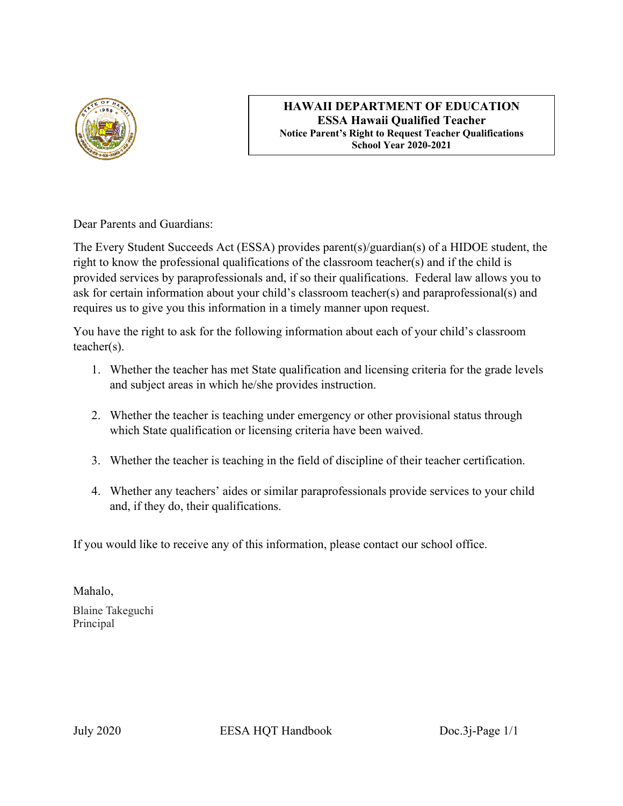

#### **HAWAII DEPARTMENT OF EDUCATION ESSA Hawaii Qualified Teacher Notice Parent's Right to Request Teacher Qualifications School Year 2020-2021**

Dear Parents and Guardians:

The Every Student Succeeds Act (ESSA) provides parent(s)/guardian(s) of a HIDOE student, the right to know the professional qualifications of the classroom teacher(s) and if the child is provided services by paraprofessionals and, if so their qualifications. Federal law allows you to ask for certain information about your child's classroom teacher(s) and paraprofessional(s) and requires us to give you this information in a timely manner upon request.

You have the right to ask for the following information about each of your child's classroom teacher(s).

- 1. Whether the teacher has met State qualification and licensing criteria for the grade levels and subject areas in which he/she provides instruction.
- 2. Whether the teacher is teaching under emergency or other provisional status through which State qualification or licensing criteria have been waived.
- 3. Whether the teacher is teaching in the field of discipline of their teacher certification.
- 4. Whether any teachers' aides or similar paraprofessionals provide services to your child and, if they do, their qualifications.

If you would like to receive any of this information, please contact our school office.

Mahalo, Blaine Takeguchi Principal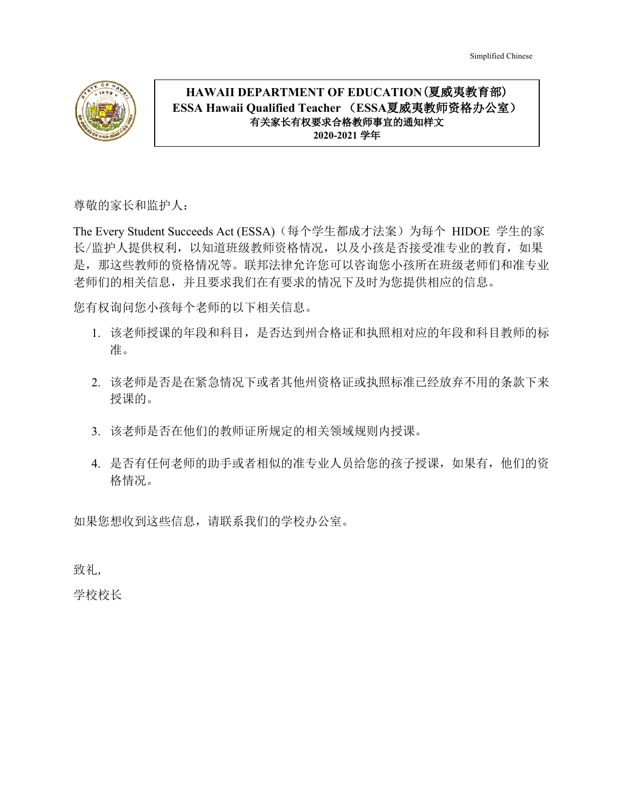

## **HAWAII DEPARTMENT OF EDUCATION**(夏威夷教育部) **ESSA Hawaii Qualified Teacher** (**ESSA**夏威夷教师资格办公室) 有关家长有权要求合格教师事宜的通知样文 **2020-2021** 学年

尊敬的家长和监护人:

The Every Student Succeeds Act (ESSA)(每个学生都成才法案)为每个 HIDOE 学生的家 长/监护人提供权利,以知道班级教师资格情况,以及小孩是否接受准专业的教育,如果 是,那这些教师的资格情况等。联邦法律允许您可以咨询您小孩所在班级老师们和准专业 老师们的相关信息,并且要求我们在有要求的情况下及时为您提供相应的信息。

您有权询问您小孩每个老师的以下相关信息。

- 1. 该老师授课的年段和科目,是否达到州合格证和执照相对应的年段和科目教师的标 准。
- 2. 该老师是否是在紧急情况下或者其他州资格证或执照标准已经放弃不用的条款下来 授课的。
- 3. 该老师是否在他们的教师证所规定的相关领域规则内授课。
- 4. 是否有任何老师的助手或者相似的准专业人员给您的孩子授课,如果有,他们的资 格情况。

如果您想收到这些信息,请联系我们的学校办公室。

致礼,

学校校长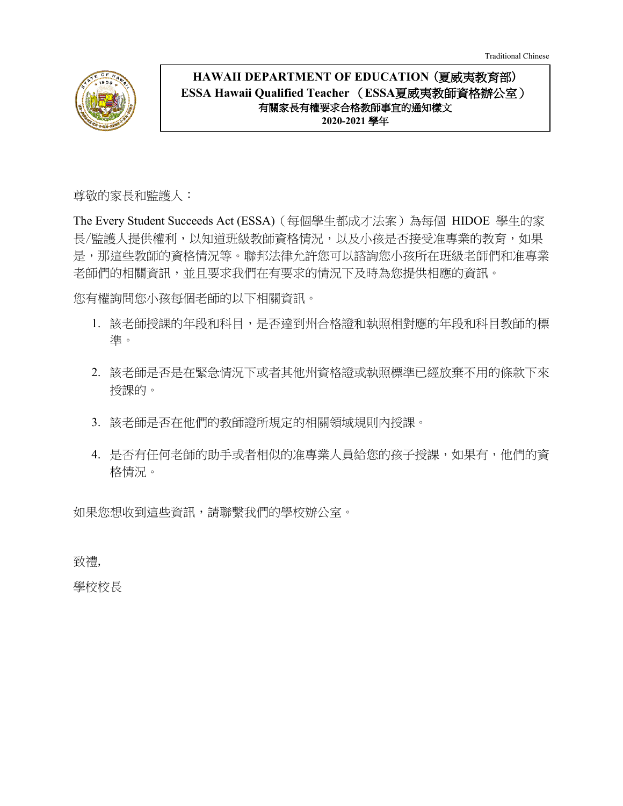Traditional Chinese



# **HAWAII DEPARTMENT OF EDUCATION** (夏威夷教育部) **ESSA Hawaii Qualified Teacher** (**ESSA**夏威夷教師資格辦公室) 有關家長有權要求合格教師事宜的通知樣文 **2020-2021** 學年

尊敬的家長和監護人:

The Every Student Succeeds Act (ESSA)(每個學生都成才法案)為每個 HIDOE 學生的家 長/監護人提供權利,以知道班級教師資格情況,以及小孩是否接受准專業的教育,如果 是,那這些教師的資格情況等。聯邦法律允許您可以諮詢您小孩所在班級老師們和准專業 老師們的相關資訊,並且要求我們在有要求的情況下及時為您提供相應的資訊。

您有權詢問您小孩每個老師的以下相關資訊。

- 1. 該老師授課的年段和科目,是否達到州合格證和執照相對應的年段和科目教師的標 準。
- 2. 該老師是否是在緊急情況下或者其他州資格證或執照標準已經放棄不用的條款下來 授課的。
- 3. 該老師是否在他們的教師證所規定的相關領域規則內授課。
- 4. 是否有任何老師的助手或者相似的准專業人員給您的孩子授課,如果有,他們的資 格情況。

如果您想收到這些資訊,請聯繫我們的學校辦公室。

致禮,

學校校長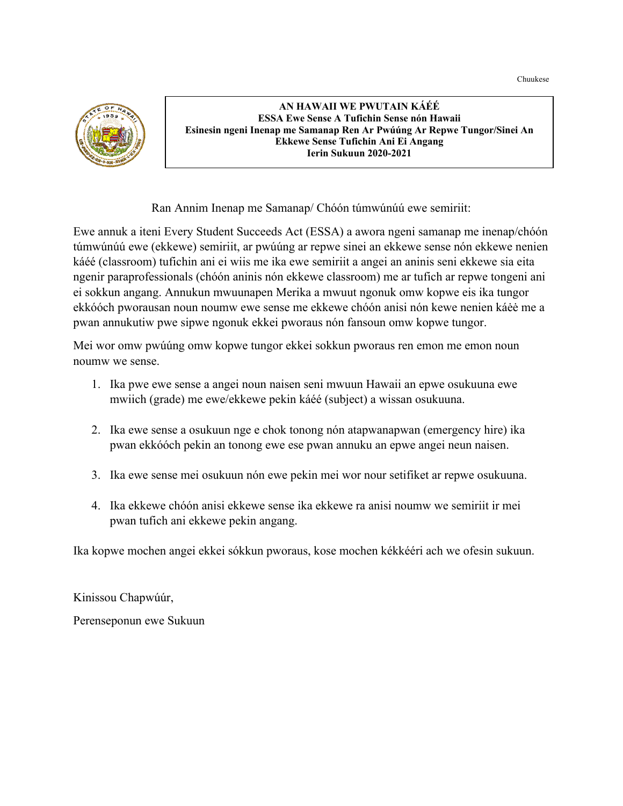Chuukese



**AN HAWAII WE PWUTAIN KÁÉÉ ESSA Ewe Sense A Tufichin Sense nón Hawaii Esinesin ngeni Inenap me Samanap Ren Ar Pwúúng Ar Repwe Tungor/Sinei An Ekkewe Sense Tufichin Ani Ei Angang Ierin Sukuun 2020-2021**

Ran Annim Inenap me Samanap/ Chóón túmwúnúú ewe semiriit:

Ewe annuk a iteni Every Student Succeeds Act (ESSA) a awora ngeni samanap me inenap/chóón túmwúnúú ewe (ekkewe) semiriit, ar pwúúng ar repwe sinei an ekkewe sense nón ekkewe nenien káéé (classroom) tufichin ani ei wiis me ika ewe semiriit a angei an aninis seni ekkewe sia eita ngenir paraprofessionals (chóón aninis nón ekkewe classroom) me ar tufich ar repwe tongeni ani ei sokkun angang. Annukun mwuunapen Merika a mwuut ngonuk omw kopwe eis ika tungor ekkóóch pworausan noun noumw ewe sense me ekkewe chóón anisi nón kewe nenien káėė me a pwan annukutiw pwe sipwe ngonuk ekkei pworaus nón fansoun omw kopwe tungor.

Mei wor omw pwúúng omw kopwe tungor ekkei sokkun pworaus ren emon me emon noun noumw we sense.

- 1. Ika pwe ewe sense a angei noun naisen seni mwuun Hawaii an epwe osukuuna ewe mwiich (grade) me ewe/ekkewe pekin káéé (subject) a wissan osukuuna.
- 2. Ika ewe sense a osukuun nge e chok tonong nón atapwanapwan (emergency hire) ika pwan ekkóóch pekin an tonong ewe ese pwan annuku an epwe angei neun naisen.
- 3. Ika ewe sense mei osukuun nón ewe pekin mei wor nour setifiket ar repwe osukuuna.
- 4. Ika ekkewe chóón anisi ekkewe sense ika ekkewe ra anisi noumw we semiriit ir mei pwan tufich ani ekkewe pekin angang.

Ika kopwe mochen angei ekkei sókkun pworaus, kose mochen kékkééri ach we ofesin sukuun.

Kinissou Chapwúúr,

Perenseponun ewe Sukuun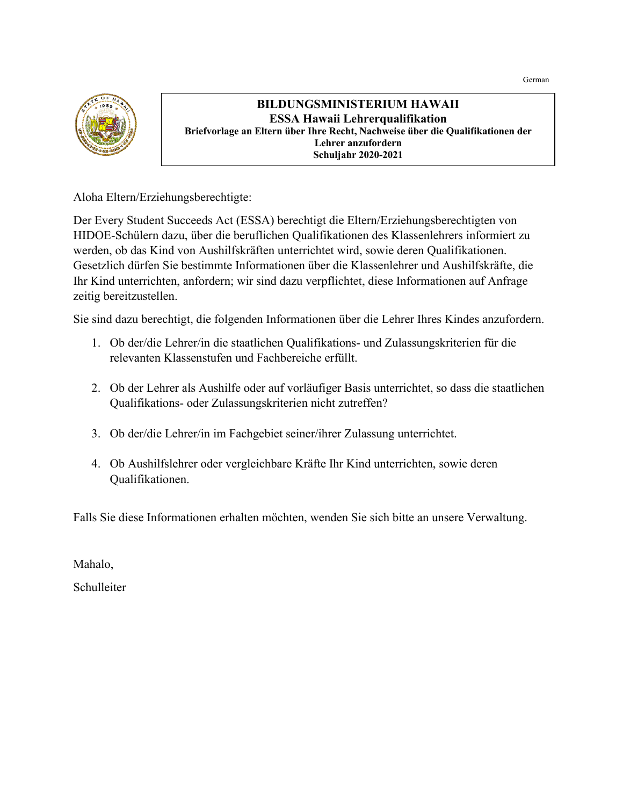

## **BILDUNGSMINISTERIUM HAWAII ESSA Hawaii Lehrerqualifikation Briefvorlage an Eltern über Ihre Recht, Nachweise über die Qualifikationen der Lehrer anzufordern Schuljahr 2020-2021**

Aloha Eltern/Erziehungsberechtigte:

Der Every Student Succeeds Act (ESSA) berechtigt die Eltern/Erziehungsberechtigten von HIDOE-Schülern dazu, über die beruflichen Qualifikationen des Klassenlehrers informiert zu werden, ob das Kind von Aushilfskräften unterrichtet wird, sowie deren Qualifikationen. Gesetzlich dürfen Sie bestimmte Informationen über die Klassenlehrer und Aushilfskräfte, die Ihr Kind unterrichten, anfordern; wir sind dazu verpflichtet, diese Informationen auf Anfrage zeitig bereitzustellen.

Sie sind dazu berechtigt, die folgenden Informationen über die Lehrer Ihres Kindes anzufordern.

- 1. Ob der/die Lehrer/in die staatlichen Qualifikations- und Zulassungskriterien für die relevanten Klassenstufen und Fachbereiche erfüllt.
- 2. Ob der Lehrer als Aushilfe oder auf vorläufiger Basis unterrichtet, so dass die staatlichen Qualifikations- oder Zulassungskriterien nicht zutreffen?
- 3. Ob der/die Lehrer/in im Fachgebiet seiner/ihrer Zulassung unterrichtet.
- 4. Ob Aushilfslehrer oder vergleichbare Kräfte Ihr Kind unterrichten, sowie deren Qualifikationen.

Falls Sie diese Informationen erhalten möchten, wenden Sie sich bitte an unsere Verwaltung.

Mahalo,

Schulleiter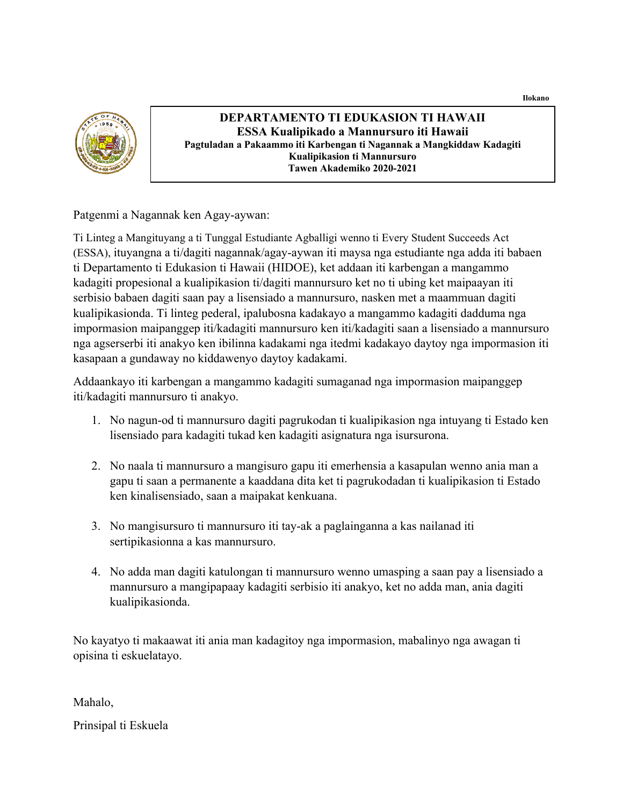**Ilokano**



#### **DEPARTAMENTO TI EDUKASION TI HAWAII ESSA Kualipikado a Mannursuro iti Hawaii Pagtuladan a Pakaammo iti Karbengan ti Nagannak a Mangkiddaw Kadagiti Kualipikasion ti Mannursuro Tawen Akademiko 2020-2021**

Patgenmi a Nagannak ken Agay-aywan:

Ti Linteg a Mangituyang a ti Tunggal Estudiante Agballigi wenno ti Every Student Succeeds Act (ESSA), ituyangna a ti/dagiti nagannak/agay-aywan iti maysa nga estudiante nga adda iti babaen ti Departamento ti Edukasion ti Hawaii (HIDOE), ket addaan iti karbengan a mangammo kadagiti propesional a kualipikasion ti/dagiti mannursuro ket no ti ubing ket maipaayan iti serbisio babaen dagiti saan pay a lisensiado a mannursuro, nasken met a maammuan dagiti kualipikasionda. Ti linteg pederal, ipalubosna kadakayo a mangammo kadagiti dadduma nga impormasion maipanggep iti/kadagiti mannursuro ken iti/kadagiti saan a lisensiado a mannursuro nga agserserbi iti anakyo ken ibilinna kadakami nga itedmi kadakayo daytoy nga impormasion iti kasapaan a gundaway no kiddawenyo daytoy kadakami.

Addaankayo iti karbengan a mangammo kadagiti sumaganad nga impormasion maipanggep iti/kadagiti mannursuro ti anakyo.

- 1. No nagun-od ti mannursuro dagiti pagrukodan ti kualipikasion nga intuyang ti Estado ken lisensiado para kadagiti tukad ken kadagiti asignatura nga isursurona.
- 2. No naala ti mannursuro a mangisuro gapu iti emerhensia a kasapulan wenno ania man a gapu ti saan a permanente a kaaddana dita ket ti pagrukodadan ti kualipikasion ti Estado ken kinalisensiado, saan a maipakat kenkuana.
- 3. No mangisursuro ti mannursuro iti tay-ak a paglainganna a kas nailanad iti sertipikasionna a kas mannursuro.
- 4. No adda man dagiti katulongan ti mannursuro wenno umasping a saan pay a lisensiado a mannursuro a mangipapaay kadagiti serbisio iti anakyo, ket no adda man, ania dagiti kualipikasionda.

No kayatyo ti makaawat iti ania man kadagitoy nga impormasion, mabalinyo nga awagan ti opisina ti eskuelatayo.

Mahalo,

Prinsipal ti Eskuela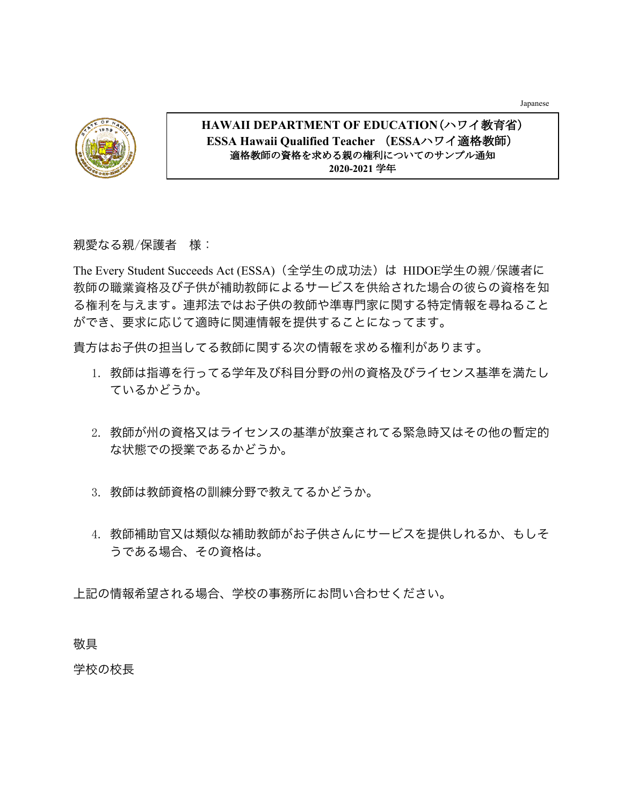Japanese



## **HAWAII DEPARTMENT OF EDUCATION**(ハワイ教育省) **ESSA Hawaii Qualified Teacher** (**ESSA**ハワイ適格教師) 適格教師の資格を求める親の権利についてのサンプル通知 **2020-2021** 学年

## 親愛なる親/保護者 様:

The Every Student Succeeds Act (ESSA) (全学生の成功法)は HIDOE学生の親/保護者に 教師の職業資格及び⼦供が補助教師によるサービスを供給された場合の彼らの資格を知 る権利を与えます。連邦法ではお子供の教師や準専門家に関する特定情報を尋ねること ができ、要求に応じて適時に関連情報を提供することになってます。

貴方はお子供の担当してる教師に関する次の情報を求める権利があります。

- 1. 教師は指導を行ってる学年及び科目分野の州の資格及びライセンス基準を満たし ているかどうか。
- 2. 教師が州の資格又はライセンスの基準が放棄されてる緊急時又はその他の暫定的 な状態での授業であるかどうか。
- 3. 教師は教師資格の訓練分野で教えてるかどうか。
- 4. 教師補助官又は類似な補助教師がお子供さんにサービスを提供しれるか、もしそ うである場合、その資格は。

上記の情報希望される場合、学校の事務所にお問い合わせください。

敬具

学校の校長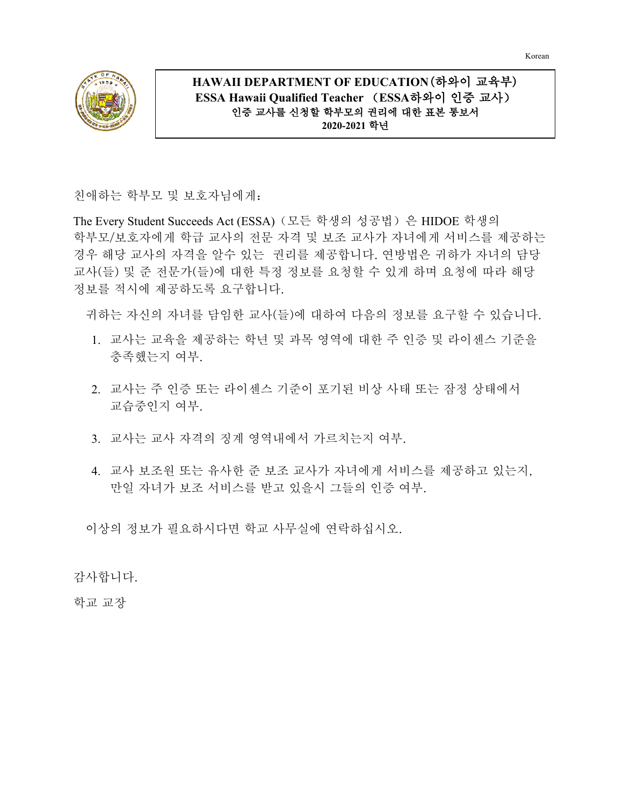Korean



## **HAWAII DEPARTMENT OF EDUCATION**(하와이 교육부) **ESSA Hawaii Qualified Teacher** (**ESSA**하와이 인증 교사) 인증 교사를 신청할 학부모의 권리에 대한 표본 통보서 **2020-2021** 학년

친애하는 학부모 및 보호자님에게:

The Every Student Succeeds Act (ESSA)(모든 학생의 성공법)은 HIDOE 학생의 학부모/보호자에게 학급 교사의 전문 자격 및 보조 교사가 자녀에게 서비스를 제공하는 경우 해당 교사의 자격을 알수 있는 권리를 제공합니다. 연방법은 귀하가 자녀의 담당 교사(들) 및 준 전문가(들)에 대한 특정 정보를 요청할 수 있게 하며 요청에 따라 해당 정보를 적시에 제공하도록 요구합니다.

귀하는 자신의 자녀를 담임한 교사(들)에 대하여 다음의 정보를 요구할 수 있습니다.

- 1. 교사는 교육을 제공하는 학년 및 과목 영역에 대한 주 인증 및 라이센스 기준을 충족했는지 여부.
- 2. 교사는 주 인증 또는 라이센스 기준이 포기된 비상 사태 또는 잠정 상태에서 교습중인지 여부.
- 3. 교사는 교사 자격의 징계 영역내에서 가르치는지 여부.
- 4. 교사 보조원 또는 유사한 준 보조 교사가 자녀에게 서비스를 제공하고 있는지, 만일 자녀가 보조 서비스를 받고 있을시 그들의 인증 여부.

이상의 정보가 필요하시다면 학교 사무실에 연락하십시오.

감사합니다.

학교 교장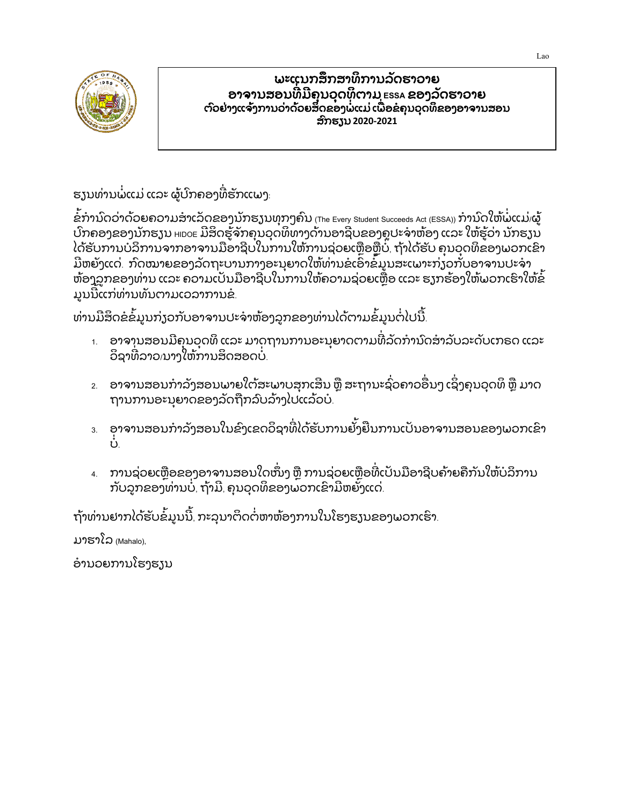

#### ພະແນກສຶກສາທິການລັດຮາວາຍ ອາຈານສອນ ທີ ມຄຸ ນວຸ ດທິ ຕາມ **ESSA** ຂອງລັດຮາວາຍ ່  $\overline{a}$ ຕົວຢ່າງແຈ້ງການວ່າດ້ວຍສິດຂອງພໍແມ່ ເພື່ອຂໍຄຸນວຸດທິຂອງອາຈານສອນ ່ ່ ສົກຮຽນ **2020-2021**

ຮຽນທ່ານພໍແມ່ ແລະ ຜູ້ປົກຄອງທີ່ຮັກແພງ: ີ່

ໍ ຂການົດວ່າດ້ວຍຄວາມສາເລັດຂອງນັກຮຽນທຸກໆຄົນ <sub>(The Every Student Succeeds Act (ESSA))</sub> ການົດໃຫ້ພໍແມ່⁄ຜູ້ ້ ປກຄອງຂອງນັກຮຽນ <code>HIDOE</code> ມີສິດຮູຈັກຄຸນວຸດທິທາງດານອາຊີບຂອງຄູປະຈາຫອງ ແລະ ໃຫຮູວາ ນັກຮຽນ ໄດ້ຮັບການບໍລິການຈາກອາຈານມືອາຊີບໃນການໃຫ້ການຊ່ວຍເຫຼືອຫຼືບໍ່, ຖ້າໄດ້ຮັບ ຄຸນວຸດທິຂອງພວກເຂົາ ີ ມີຫຍັງແດ່. ກົດໝາຍຂອງລັດຖະບານກາງອະນຸຍາດໃຫ້ທ່ານຂໍເອົາຂໍມູນສະເພາະກ່ຽວກັບອາຈານປະຈຳ ຫ້ອງລູກຂອງທ່ານ ແລະ ຄວາມເປັນມືອາຊີບໃນການໃຫ້ຄວາມຊ່ວຍເຫຼືອ ແລະ ຮູງກຮ້ອງໃຫ້ພວກເຮົາໃຫ້ຂໍ ມູນນີແກ່ທ່ານທັນຕາມເວລາການຂໍ້.

ທ່ານມີສິດຂໍຂໍມູນກ່ຽວກັບອາຈານປະຈຳຫ້ອງລູກຂອງທ່ານໄດ້ຕາມຂໍມູນຕໍ່ໄປນີ້.

- $_{\rm 1.}$  ອາຈານສອນມີຄຸນວຸດທິ ແລະ ມາດຖານການອະນຸຍາດຕາມທີ່ລັດການົດສາລັບລະດັບເກຣດ ແລະ ິ ວິຊາທີລາວ $\mu$ າງໃຫ້ການສິດສອດບໍ່. ໍ
- $_{\rm z}$  ອາຈານສອນກຳລັງສອນພາຍໃຕ້ສະພາບສຸກເສີນ ຫຼື ສະຖານະຊົວຄາວອື່ນໆ ເຊິ່ງຄຸນວຸດທິ ຫຼື ມາດ  $\overline{a}$ ິ ຖານການອະນຸຍາດຂອງລັດຖັກລົບລາງໄປແລວບ.
- $_{3}$  ອາຈານສອນກຳລັງສອນໃນຂົງເຂດວິຊາທີ່ໄດ້ຮັບການຢັ້ງຍື່ນການເປັນອາຈານສອນຂອງພວກເຂົາ ່ ບ.
- 4. ການຊ່ວຍເຫຼືອຂອງອາຈານສອນໃດໜຶ່ງ ຫຼື ການຊ່ວຍເຫຼືອທີ່ເປັນມືອາຊີບຄ້າຍຄືກັນໃຫ້ບໍລິການ ກັບລູກຂອງທ່ານບໍ, ຖ້າມີ, ຄຸນວຸດທິຂອງພວກເຂົາມີຫຍັງແດ່. ໍ

ຖ້າທ່ານຢາກໄດ້ຮັບຂໍ້ມູນນີ້, ກະລຸນາຕິດຕໍຫາຫ້ອງການໃນໂຮງຮຽນຂອງພວກເຮົາ.

ມາຮາໂລ (Mahalo),

ໍ ອານວຍການໂຮງຮຽນ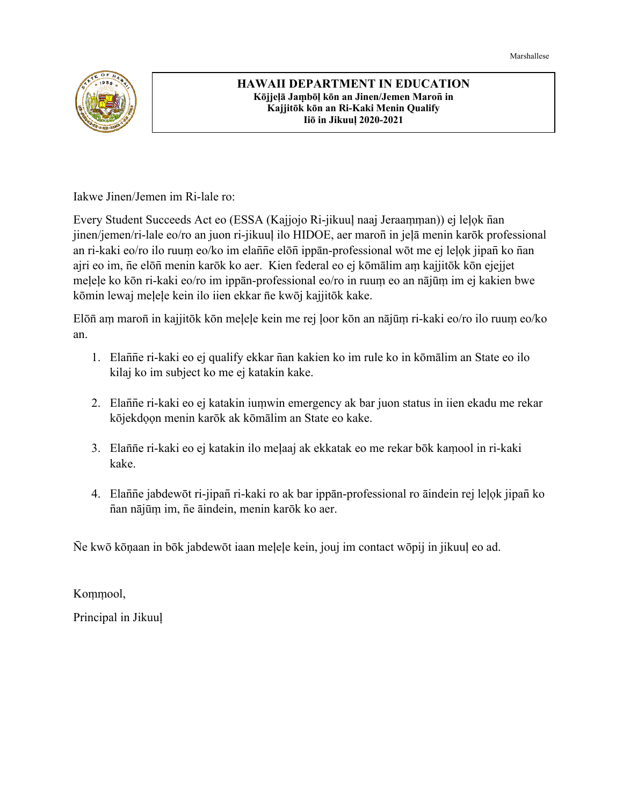Marshallese



#### **HAWAII DEPARTMENT IN EDUCATION Kōjjeļā Jaṃbōļ kōn an Jinen/Jemen Maron̄ in Kajjitōk kōn an Ri-Kaki Menin Qualify Iiō in Jikuuļ 2020-2021**

Iakwe Jinen/Jemen im Ri-lale ro:

Every Student Succeeds Act eo (ESSA (Kajjojo Ri-jikuuļ naaj Jeraaṃṃan)) ej leļọk n̄an jinen/jemen/ri-lale eo/ro an juon ri-jikuuļ ilo HIDOE, aer maron̄ in jeļā menin karōk professional an ri-kaki eo/ro ilo ruuṃ eo/ko im elan̄n̄e elōn̄ ippān-professional wōt me ej leļọk jipan̄ ko n̄an ajri eo im, n̄e elōn̄ menin karōk ko aer. Kien federal eo ej kōmālim aṃ kajjitōk kōn ejejjet meļeļe ko kōn ri-kaki eo/ro im ippān-professional eo/ro in ruuṃ eo an nājūṃ im ej kakien bwe kōmin lewaj meļeļe kein ilo iien ekkar n̄e kwōj kajjitōk kake.

Elōn̄ aṃ maron̄ in kajjitōk kōn meļeļe kein me rej ļoor kōn an nājūṃ ri-kaki eo/ro ilo ruuṃ eo/ko an.

- 1. Elan̄n̄e ri-kaki eo ej qualify ekkar n̄an kakien ko im rule ko in kōmālim an State eo ilo kilaj ko im subject ko me ej katakin kake.
- 2. Elan̄n̄e ri-kaki eo ej katakin iuṃwin emergency ak bar juon status in iien ekadu me rekar kōjekdọọn menin karōk ak kōmālim an State eo kake.
- 3. Elan̄n̄e ri-kaki eo ej katakin ilo meļaaj ak ekkatak eo me rekar bōk kaṃool in ri-kaki kake.
- 4. Elan̄n̄e jabdewōt ri-jipan̄ ri-kaki ro ak bar ippān-professional ro āindein rej leļọk jipan̄ ko n̄an nājūṃ im, n̄e āindein, menin karōk ko aer.

N̄e kwō kōņaan in bōk jabdewōt iaan meļeļe kein, jouj im contact wōpij in jikuuļ eo ad.

Koṃṃool,

Principal in Jikuuļ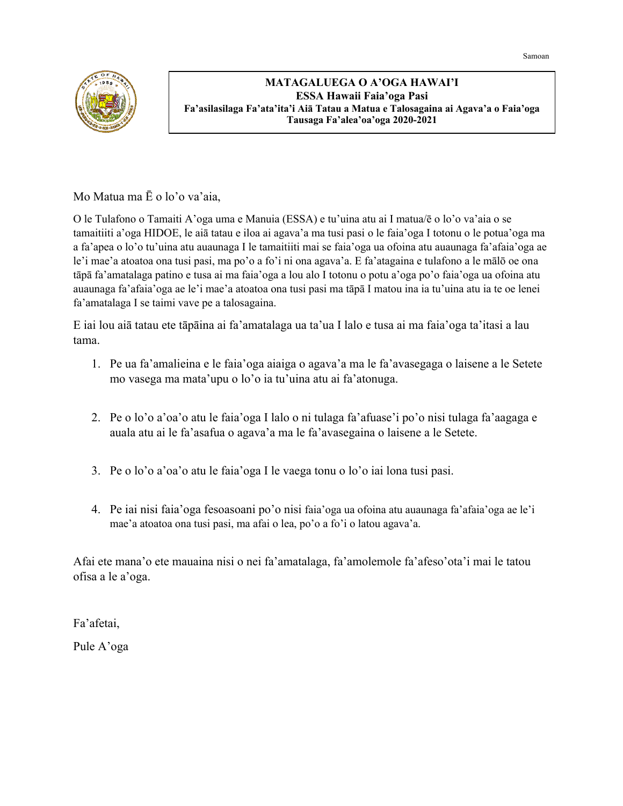Samoan



#### **MATAGALUEGA O A'OGA HAWAI'I ESSA Hawaii Faia'oga Pasi Fa'asilasilaga Fa'ata'ita'i Aiā Tatau a Matua e Talosagaina ai Agava'a o Faia'oga Tausaga Fa'alea'oa'oga 2020-2021**

Mo Matua ma Ē o lo'o va'aia,

O le Tulafono o Tamaiti A'oga uma e Manuia (ESSA) e tu'uina atu ai I matua/ē o lo'o va'aia o se tamaitiiti a'oga HIDOE, le aiā tatau e iloa ai agava'a ma tusi pasi o le faia'oga I totonu o le potua'oga ma a fa'apea o lo'o tu'uina atu auaunaga I le tamaitiiti mai se faia'oga ua ofoina atu auaunaga fa'afaia'oga ae le'i mae'a atoatoa ona tusi pasi, ma po'o a fo'i ni ona agava'a. E fa'atagaina e tulafono a le mālō oe ona tāpā fa'amatalaga patino e tusa ai ma faia'oga a lou alo I totonu o potu a'oga po'o faia'oga ua ofoina atu auaunaga fa'afaia'oga ae le'i mae'a atoatoa ona tusi pasi ma tāpā I matou ina ia tu'uina atu ia te oe lenei fa'amatalaga I se taimi vave pe a talosagaina.

E iai lou aiā tatau ete tāpāina ai fa'amatalaga ua ta'ua I lalo e tusa ai ma faia'oga ta'itasi a lau tama.

- 1. Pe ua fa'amalieina e le faia'oga aiaiga o agava'a ma le fa'avasegaga o laisene a le Setete mo vasega ma mata'upu o lo'o ia tu'uina atu ai fa'atonuga.
- 2. Pe o lo'o a'oa'o atu le faia'oga I lalo o ni tulaga fa'afuase'i po'o nisi tulaga fa'aagaga e auala atu ai le fa'asafua o agava'a ma le fa'avasegaina o laisene a le Setete.
- 3. Pe o lo'o a'oa'o atu le faia'oga I le vaega tonu o lo'o iai lona tusi pasi.
- 4. Pe iai nisi faia'oga fesoasoani po'o nisi faia'oga ua ofoina atu auaunaga fa'afaia'oga ae le'i mae'a atoatoa ona tusi pasi, ma afai o lea, po'o a fo'i o latou agava'a.

Afai ete mana'o ete mauaina nisi o nei fa'amatalaga, fa'amolemole fa'afeso'ota'i mai le tatou ofisa a le a'oga.

Fa'afetai,

Pule A'oga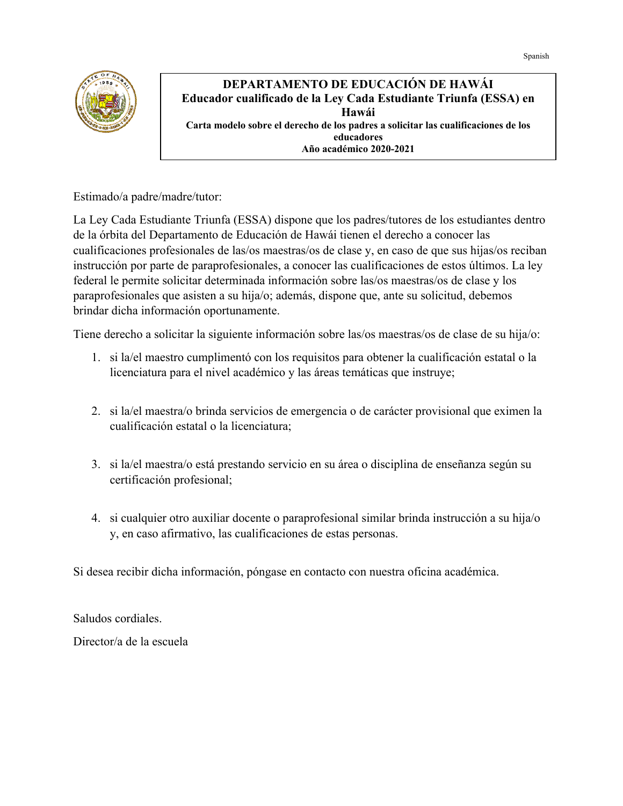

#### **DEPARTAMENTO DE EDUCACIÓN DE HAWÁI Educador cualificado de la Ley Cada Estudiante Triunfa (ESSA) en Hawái Carta modelo sobre el derecho de los padres a solicitar las cualificaciones de los educadores Año académico 2020-2021**

Estimado/a padre/madre/tutor:

La Ley Cada Estudiante Triunfa (ESSA) dispone que los padres/tutores de los estudiantes dentro de la órbita del Departamento de Educación de Hawái tienen el derecho a conocer las cualificaciones profesionales de las/os maestras/os de clase y, en caso de que sus hijas/os reciban instrucción por parte de paraprofesionales, a conocer las cualificaciones de estos últimos. La ley federal le permite solicitar determinada información sobre las/os maestras/os de clase y los paraprofesionales que asisten a su hija/o; además, dispone que, ante su solicitud, debemos brindar dicha información oportunamente.

Tiene derecho a solicitar la siguiente información sobre las/os maestras/os de clase de su hija/o:

- 1. si la/el maestro cumplimentó con los requisitos para obtener la cualificación estatal o la licenciatura para el nivel académico y las áreas temáticas que instruye;
- 2. si la/el maestra/o brinda servicios de emergencia o de carácter provisional que eximen la cualificación estatal o la licenciatura;
- 3. si la/el maestra/o está prestando servicio en su área o disciplina de enseñanza según su certificación profesional;
- 4. si cualquier otro auxiliar docente o paraprofesional similar brinda instrucción a su hija/o y, en caso afirmativo, las cualificaciones de estas personas.

Si desea recibir dicha información, póngase en contacto con nuestra oficina académica.

Saludos cordiales.

Director/a de la escuela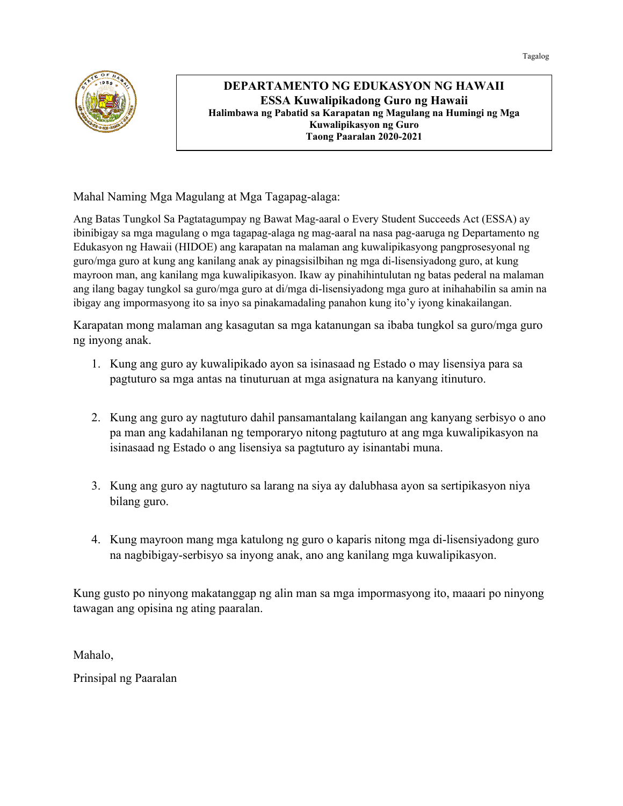

**DEPARTAMENTO NG EDUKASYON NG HAWAII ESSA Kuwalipikadong Guro ng Hawaii Halimbawa ng Pabatid sa Karapatan ng Magulang na Humingi ng Mga Kuwalipikasyon ng Guro Taong Paaralan 2020-2021**

Mahal Naming Mga Magulang at Mga Tagapag-alaga:

Ang Batas Tungkol Sa Pagtatagumpay ng Bawat Mag-aaral o Every Student Succeeds Act (ESSA) ay ibinibigay sa mga magulang o mga tagapag-alaga ng mag-aaral na nasa pag-aaruga ng Departamento ng Edukasyon ng Hawaii (HIDOE) ang karapatan na malaman ang kuwalipikasyong pangprosesyonal ng guro/mga guro at kung ang kanilang anak ay pinagsisilbihan ng mga di-lisensiyadong guro, at kung mayroon man, ang kanilang mga kuwalipikasyon. Ikaw ay pinahihintulutan ng batas pederal na malaman ang ilang bagay tungkol sa guro/mga guro at di/mga di-lisensiyadong mga guro at inihahabilin sa amin na ibigay ang impormasyong ito sa inyo sa pinakamadaling panahon kung ito'y iyong kinakailangan.

Karapatan mong malaman ang kasagutan sa mga katanungan sa ibaba tungkol sa guro/mga guro ng inyong anak.

- 1. Kung ang guro ay kuwalipikado ayon sa isinasaad ng Estado o may lisensiya para sa pagtuturo sa mga antas na tinuturuan at mga asignatura na kanyang itinuturo.
- 2. Kung ang guro ay nagtuturo dahil pansamantalang kailangan ang kanyang serbisyo o ano pa man ang kadahilanan ng temporaryo nitong pagtuturo at ang mga kuwalipikasyon na isinasaad ng Estado o ang lisensiya sa pagtuturo ay isinantabi muna.
- 3. Kung ang guro ay nagtuturo sa larang na siya ay dalubhasa ayon sa sertipikasyon niya bilang guro.
- 4. Kung mayroon mang mga katulong ng guro o kaparis nitong mga di-lisensiyadong guro na nagbibigay-serbisyo sa inyong anak, ano ang kanilang mga kuwalipikasyon.

Kung gusto po ninyong makatanggap ng alin man sa mga impormasyong ito, maaari po ninyong tawagan ang opisina ng ating paaralan.

Mahalo,

Prinsipal ng Paaralan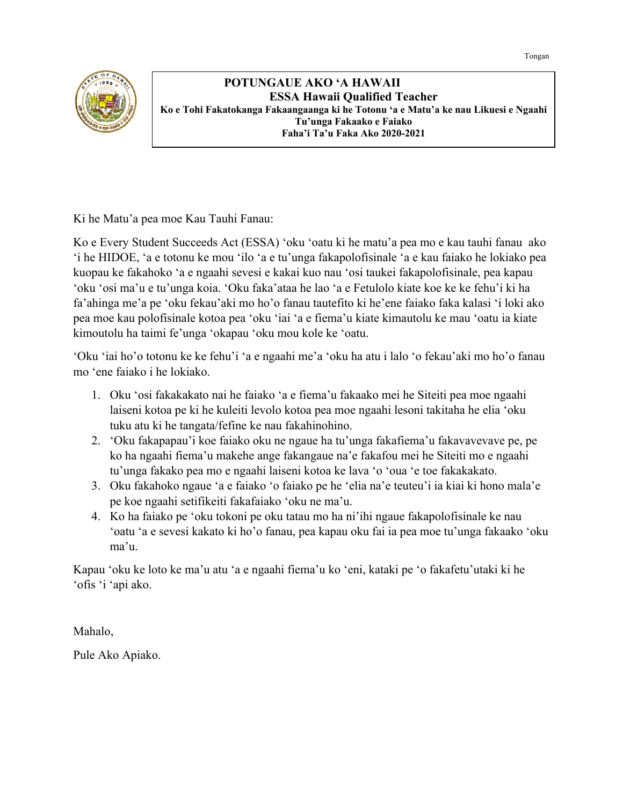

 **POTUNGAUE AKO 'A HAWAII ESSA Hawaii Qualified Teacher Ko e Tohi Fakatokanga Fakaangaanga ki he Totonu 'a e Matu'a ke nau Likuesi e Ngaahi Tu'unga Fakaako e Faiako Faha'i Ta'u Faka Ako 2020-2021**

Ki he Matu'a pea moe Kau Tauhi Fanau:

Ko e Every Student Succeeds Act (ESSA) 'oku 'oatu ki he matu'a pea mo e kau tauhi fanau ako 'i he HIDOE, 'a e totonu ke mou 'ilo 'a e tu'unga fakapolofisinale 'a e kau faiako he lokiako pea kuopau ke fakahoko 'a e ngaahi sevesi e kakai kuo nau 'osi taukei fakapolofisinale, pea kapau 'oku 'osi ma'u e tu'unga koia. 'Oku faka'ataa he lao 'a e Fetulolo kiate koe ke ke fehu'i ki ha fa'ahinga me'a pe 'oku fekau'aki mo ho'o fanau tautefito ki he'ene faiako faka kalasi 'i loki ako pea moe kau polofisinale kotoa pea 'oku 'iai 'a e fiema'u kiate kimautolu ke mau 'oatu ia kiate kimoutolu ha taimi fe'unga 'okapau 'oku mou kole ke 'oatu.

'Oku 'iai ho'o totonu ke ke fehu'i 'a e ngaahi me'a 'oku ha atu i lalo 'o fekau'aki mo ho'o fanau mo 'ene faiako i he lokiako.

- 1. Oku 'osi fakakakato nai he faiako 'a e fiema'u fakaako mei he Siteiti pea moe ngaahi laiseni kotoa pe ki he kuleiti levolo kotoa pea moe ngaahi lesoni takitaha he elia 'oku tuku atu ki he tangata/fefine ke nau fakahinohino.
- 2. 'Oku fakapapau'i koe faiako oku ne ngaue ha tu'unga fakafiema'u fakavavevave pe, pe ko ha ngaahi fiema'u makehe ange fakangaue na'e fakafou mei he Siteiti mo e ngaahi tu'unga fakako pea mo e ngaahi laiseni kotoa ke lava 'o 'oua 'e toe fakakakato.
- 3. Oku fakahoko ngaue 'a e faiako 'o faiako pe he 'elia na'e teuteu'i ia kiai ki hono mala'e pe koe ngaahi setifikeiti fakafaiako 'oku ne ma'u.
- 4. Ko ha faiako pe 'oku tokoni pe oku tatau mo ha ni'ihi ngaue fakapolofisinale ke nau 'oatu 'a e sevesi kakato ki ho'o fanau, pea kapau oku fai ia pea moe tu'unga fakaako 'oku ma'u.

Kapau 'oku ke loto ke ma'u atu 'a e ngaahi fiema'u ko 'eni, kataki pe 'o fakafetu'utaki ki he 'ofis 'i 'api ako.

Mahalo,

Pule Ako Apiako.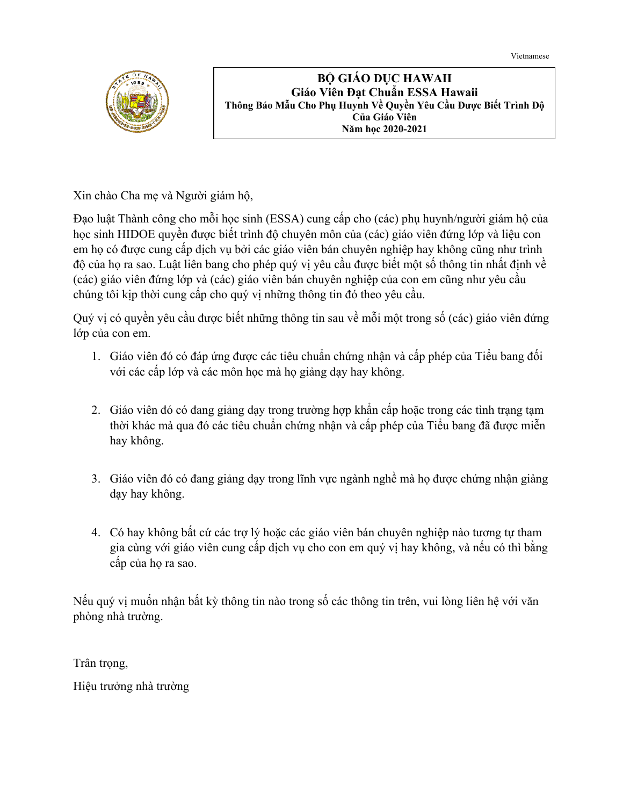Vietnamese



**BỘ GIÁO DỤC HAWAII Giáo Viên Đạt Chuẩn ESSA Hawaii Thông Báo Mẫu Cho Phụ Huynh Về Quyền Yêu Cầu Được Biết Trình Độ Của Giáo Viên Năm học 2020-2021**

Xin chào Cha mẹ và Người giám hộ,

Đạo luật Thành công cho mỗi học sinh (ESSA) cung cấp cho (các) phụ huynh/người giám hộ của học sinh HIDOE quyền được biết trình độ chuyên môn của (các) giáo viên đứng lớp và liệu con em họ có được cung cấp dịch vụ bởi các giáo viên bán chuyên nghiệp hay không cũng như trình độ của họ ra sao. Luật liên bang cho phép quý vị yêu cầu được biết một số thông tin nhất định về (các) giáo viên đứng lớp và (các) giáo viên bán chuyên nghiệp của con em cũng như yêu cầu chúng tôi kịp thời cung cấp cho quý vị những thông tin đó theo yêu cầu.

Quý vị có quyền yêu cầu được biết những thông tin sau về mỗi một trong số (các) giáo viên đứng lớp của con em.

- 1. Giáo viên đó có đáp ứng được các tiêu chuẩn chứng nhận và cấp phép của Tiểu bang đối với các cấp lớp và các môn học mà họ giảng dạy hay không.
- 2. Giáo viên đó có đang giảng dạy trong trường hợp khẩn cấp hoặc trong các tình trạng tạm thời khác mà qua đó các tiêu chuẩn chứng nhận và cấp phép của Tiểu bang đã được miễn hay không.
- 3. Giáo viên đó có đang giảng dạy trong lĩnh vực ngành nghề mà họ được chứng nhận giảng dạy hay không.
- 4. Có hay không bất cứ các trợ lý hoặc các giáo viên bán chuyên nghiệp nào tương tự tham gia cùng với giáo viên cung cấp dịch vụ cho con em quý vị hay không, và nếu có thì bằng cấp của họ ra sao.

Nếu quý vị muốn nhận bất kỳ thông tin nào trong số các thông tin trên, vui lòng liên hệ với văn phòng nhà trường.

Trân trong,

Hiệu trưởng nhà trường